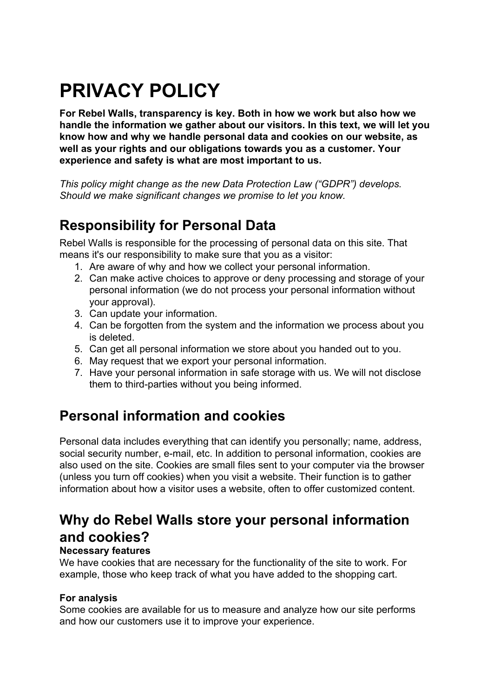# **PRIVACY POLICY**

**For Rebel Walls, transparency is key. Both in how we work but also how we handle the information we gather about our visitors. In this text, we will let you know how and why we handle personal data and cookies on our website, as well as your rights and our obligations towards you as a customer. Your experience and safety is what are most important to us.**

*This policy might change as the new Data Protection Law ("GDPR") develops. Should we make significant changes we promise to let you know.*

## **Responsibility for Personal Data**

Rebel Walls is responsible for the processing of personal data on this site. That means it's our responsibility to make sure that you as a visitor:

- 1. Are aware of why and how we collect your personal information.
- 2. Can make active choices to approve or deny processing and storage of your personal information (we do not process your personal information without your approval).
- 3. Can update your information.
- 4. Can be forgotten from the system and the information we process about you is deleted.
- 5. Can get all personal information we store about you handed out to you.
- 6. May request that we export your personal information.
- 7. Have your personal information in safe storage with us. We will not disclose them to third-parties without you being informed.

### **Personal information and cookies**

Personal data includes everything that can identify you personally; name, address, social security number, e-mail, etc. In addition to personal information, cookies are also used on the site. Cookies are small files sent to your computer via the browser (unless you turn off cookies) when you visit a website. Their function is to gather information about how a visitor uses a website, often to offer customized content.

### **Why do Rebel Walls store your personal information and cookies?**

#### **Necessary features**

We have cookies that are necessary for the functionality of the site to work. For example, those who keep track of what you have added to the shopping cart.

#### **For analysis**

Some cookies are available for us to measure and analyze how our site performs and how our customers use it to improve your experience.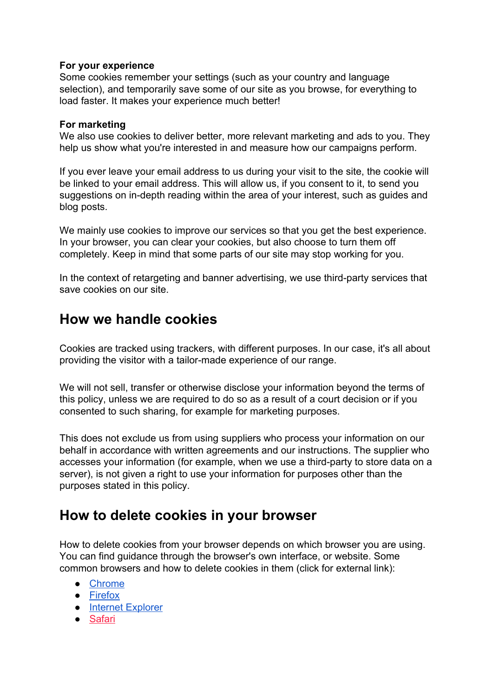#### **For your experience**

Some cookies remember your settings (such as your country and language selection), and temporarily save some of our site as you browse, for everything to load faster. It makes your experience much better!

#### **For marketing**

We also use cookies to deliver better, more relevant marketing and ads to you. They help us show what you're interested in and measure how our campaigns perform.

If you ever leave your email address to us during your visit to the site, the cookie will be linked to your email address. This will allow us, if you consent to it, to send you suggestions on in-depth reading within the area of your interest, such as guides and blog posts.

We mainly use cookies to improve our services so that you get the best experience. In your browser, you can clear your cookies, but also choose to turn them off completely. Keep in mind that some parts of our site may stop working for you.

In the context of retargeting and banner advertising, we use third-party services that save cookies on our site.

### **How we handle cookies**

Cookies are tracked using trackers, with different purposes. In our case, it's all about providing the visitor with a tailor-made experience of our range.

We will not sell, transfer or otherwise disclose your information beyond the terms of this policy, unless we are required to do so as a result of a court decision or if you consented to such sharing, for example for marketing purposes.

This does not exclude us from using suppliers who process your information on our behalf in accordance with written agreements and our instructions. The supplier who accesses your information (for example, when we use a third-party to store data on a server), is not given a right to use your information for purposes other than the purposes stated in this policy.

### **How to delete cookies in your browser**

How to delete cookies from your browser depends on which browser you are using. You can find guidance through the browser's own interface, or website. Some common browsers and how to delete cookies in them (click for external link):

- [Chrome](https://support.google.com/chrome/answer/95647?co=GENIE.Platform%3DDesktop&hl=en)
- [Firefox](https://support.mozilla.org/en-US/kb/delete-cookies-remove-info-websites-stored)
- [Internet Explorer](https://support.microsoft.com/en-us/help/17442/windows-internet-explorer-delete-manage-cookies)
- [Safari](https://support.apple.com/kb/PH21411?locale=sv_SE&viewlocale=en_US)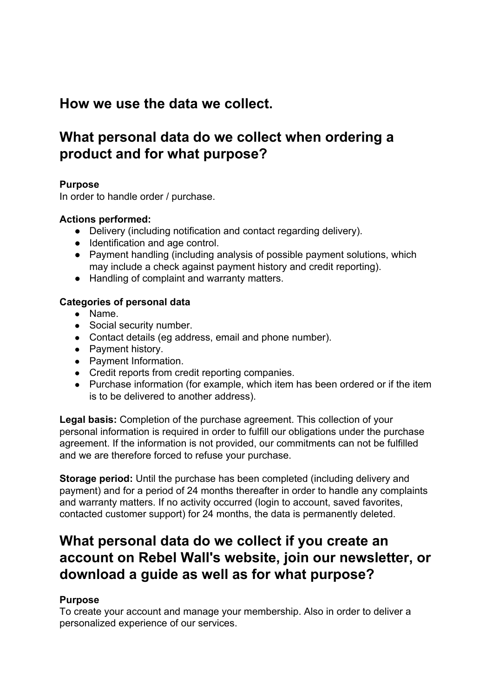### **How we use the data we collect.**

### **What personal data do we collect when ordering a product and for what purpose?**

#### **Purpose**

In order to handle order / purchase.

#### **Actions performed:**

- Delivery (including notification and contact regarding delivery).
- Identification and age control.
- Payment handling (including analysis of possible payment solutions, which may include a check against payment history and credit reporting).
- Handling of complaint and warranty matters.

#### **Categories of personal data**

- Name.
- Social security number.
- Contact details (eg address, email and phone number).
- Payment history.
- Payment Information.
- Credit reports from credit reporting companies.
- Purchase information (for example, which item has been ordered or if the item is to be delivered to another address).

**Legal basis:** Completion of the purchase agreement. This collection of your personal information is required in order to fulfill our obligations under the purchase agreement. If the information is not provided, our commitments can not be fulfilled and we are therefore forced to refuse your purchase.

**Storage period:** Until the purchase has been completed (including delivery and payment) and for a period of 24 months thereafter in order to handle any complaints and warranty matters. If no activity occurred (login to account, saved favorites, contacted customer support) for 24 months, the data is permanently deleted.

### **What personal data do we collect if you create an account on Rebel Wall's website, join our newsletter, or download a guide as well as for what purpose?**

#### **Purpose**

To create your account and manage your membership. Also in order to deliver a personalized experience of our services.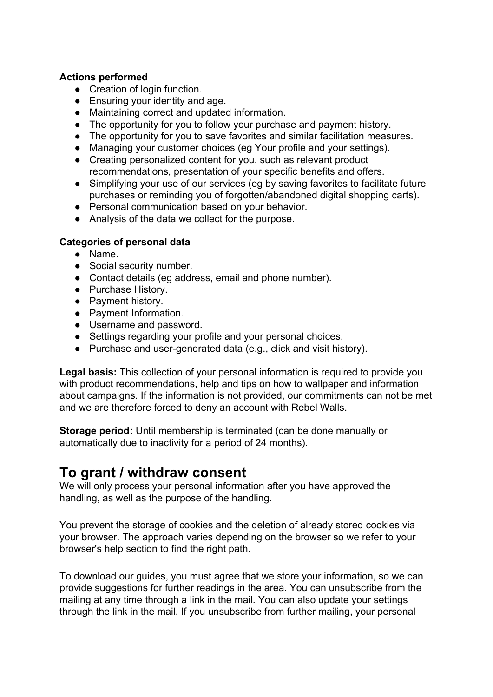#### **Actions performed**

- Creation of login function.
- Ensuring your identity and age.
- Maintaining correct and updated information.
- The opportunity for you to follow your purchase and payment history.
- The opportunity for you to save favorites and similar facilitation measures.
- Managing your customer choices (eg Your profile and your settings).
- Creating personalized content for you, such as relevant product recommendations, presentation of your specific benefits and offers.
- Simplifying your use of our services (eg by saving favorites to facilitate future purchases or reminding you of forgotten/abandoned digital shopping carts).
- Personal communication based on your behavior.
- Analysis of the data we collect for the purpose.

#### **Categories of personal data**

- Name.
- Social security number.
- Contact details (eg address, email and phone number).
- Purchase History.
- Payment history.
- Payment Information.
- Username and password.
- Settings regarding your profile and your personal choices.
- Purchase and user-generated data (e.g., click and visit history).

**Legal basis:** This collection of your personal information is required to provide you with product recommendations, help and tips on how to wallpaper and information about campaigns. If the information is not provided, our commitments can not be met and we are therefore forced to deny an account with Rebel Walls.

**Storage period:** Until membership is terminated (can be done manually or automatically due to inactivity for a period of 24 months).

### **To grant / withdraw consent**

We will only process your personal information after you have approved the handling, as well as the purpose of the handling.

You prevent the storage of cookies and the deletion of already stored cookies via your browser. The approach varies depending on the browser so we refer to your browser's help section to find the right path.

To download our guides, you must agree that we store your information, so we can provide suggestions for further readings in the area. You can unsubscribe from the mailing at any time through a link in the mail. You can also update your settings through the link in the mail. If you unsubscribe from further mailing, your personal